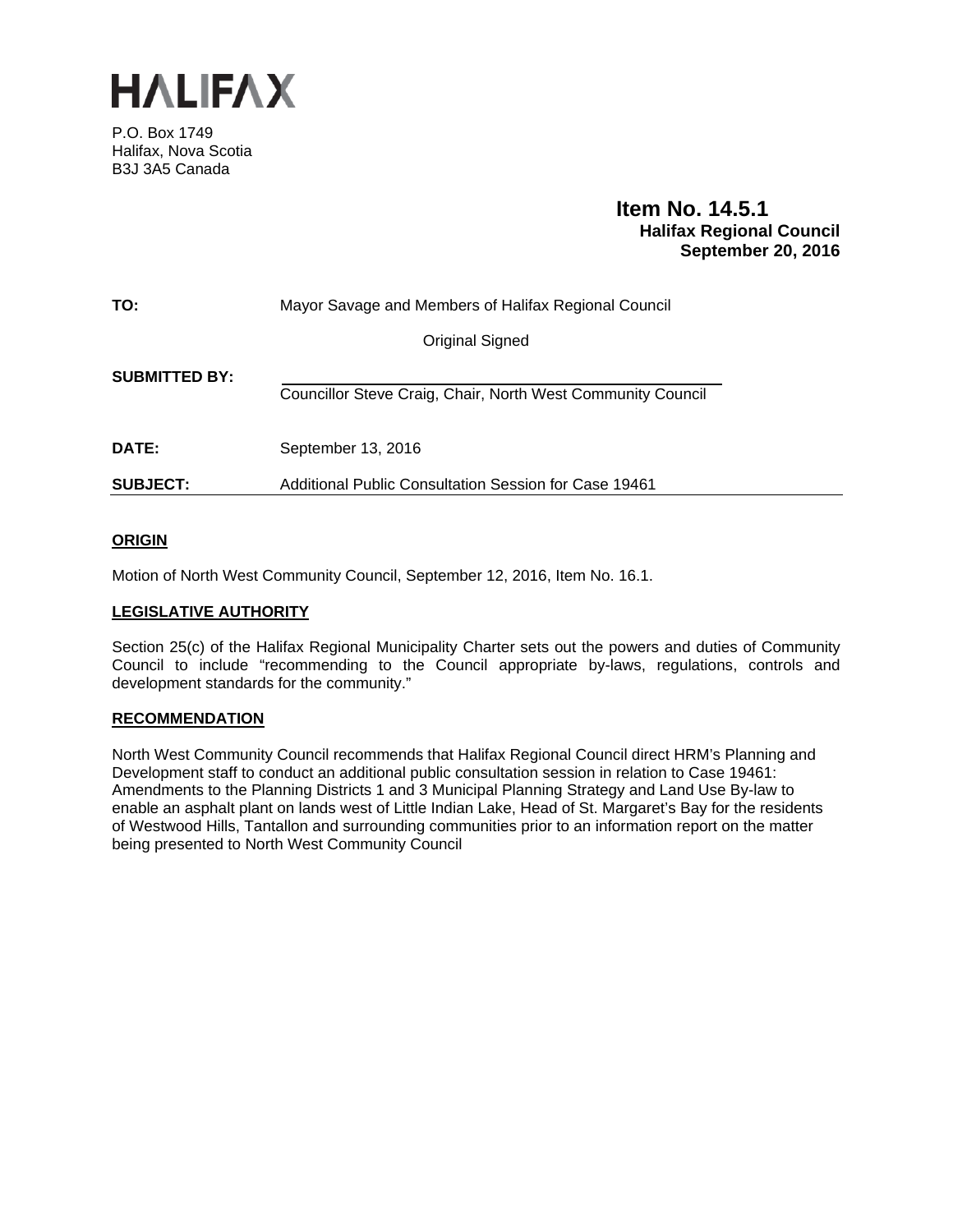

P.O. Box 1749 Halifax, Nova Scotia B3J 3A5 Canada

# **Item No. 14.5.1 Halifax Regional Council September 20, 2016**

| TO:                  | Mayor Savage and Members of Halifax Regional Council        |
|----------------------|-------------------------------------------------------------|
|                      | <b>Original Signed</b>                                      |
| <b>SUBMITTED BY:</b> | Councillor Steve Craig, Chair, North West Community Council |
| <b>DATE:</b>         | September 13, 2016                                          |
| <b>SUBJECT:</b>      | Additional Public Consultation Session for Case 19461       |

# **ORIGIN**

Motion of North West Community Council, September 12, 2016, Item No. 16.1.

# **LEGISLATIVE AUTHORITY**

Section 25(c) of the Halifax Regional Municipality Charter sets out the powers and duties of Community Council to include "recommending to the Council appropriate by-laws, regulations, controls and development standards for the community."

## **RECOMMENDATION**

North West Community Council recommends that Halifax Regional Council direct HRM's Planning and Development staff to conduct an additional public consultation session in relation to Case 19461: Amendments to the Planning Districts 1 and 3 Municipal Planning Strategy and Land Use By-law to enable an asphalt plant on lands west of Little Indian Lake, Head of St. Margaret's Bay for the residents of Westwood Hills, Tantallon and surrounding communities prior to an information report on the matter being presented to North West Community Council